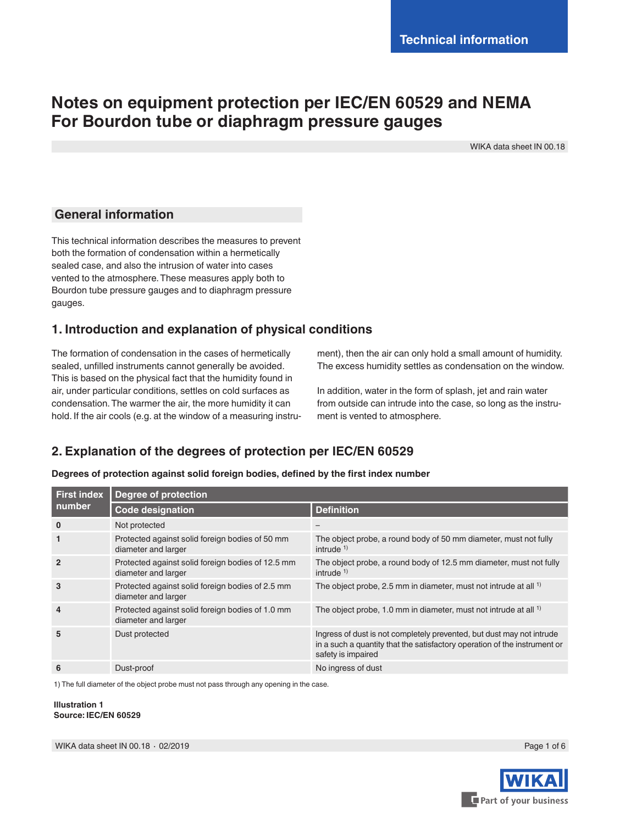# **Notes on equipment protection per IEC/EN 60529 and NEMA For Bourdon tube or diaphragm pressure gauges**

WIKA data sheet IN 00.18

### **General information**

This technical information describes the measures to prevent both the formation of condensation within a hermetically sealed case, and also the intrusion of water into cases vented to the atmosphere. These measures apply both to Bourdon tube pressure gauges and to diaphragm pressure gauges.

# **1. Introduction and explanation of physical conditions**

The formation of condensation in the cases of hermetically sealed, unfilled instruments cannot generally be avoided. This is based on the physical fact that the humidity found in air, under particular conditions, settles on cold surfaces as condensation. The warmer the air, the more humidity it can hold. If the air cools (e.g. at the window of a measuring instrument), then the air can only hold a small amount of humidity. The excess humidity settles as condensation on the window.

In addition, water in the form of splash, jet and rain water from outside can intrude into the case, so long as the instrument is vented to atmosphere.

# **2. Explanation of the degrees of protection per IEC/EN 60529**

| <b>First index</b><br>number | <b>Degree of protection</b>                                              |                                                                                                                                                                          |  |  |  |  |
|------------------------------|--------------------------------------------------------------------------|--------------------------------------------------------------------------------------------------------------------------------------------------------------------------|--|--|--|--|
|                              | <b>Code designation</b>                                                  | <b>Definition</b>                                                                                                                                                        |  |  |  |  |
| $\bf{0}$                     | Not protected                                                            |                                                                                                                                                                          |  |  |  |  |
| 1                            | Protected against solid foreign bodies of 50 mm<br>diameter and larger   | The object probe, a round body of 50 mm diameter, must not fully<br>intrude $1$ )                                                                                        |  |  |  |  |
| $\overline{2}$               | Protected against solid foreign bodies of 12.5 mm<br>diameter and larger | The object probe, a round body of 12.5 mm diameter, must not fully<br>intrude $1$ )                                                                                      |  |  |  |  |
| 3                            | Protected against solid foreign bodies of 2.5 mm<br>diameter and larger  | The object probe, 2.5 mm in diameter, must not intrude at all <sup>1)</sup>                                                                                              |  |  |  |  |
| 4                            | Protected against solid foreign bodies of 1.0 mm<br>diameter and larger  | The object probe, 1.0 mm in diameter, must not intrude at all <sup>1)</sup>                                                                                              |  |  |  |  |
| 5                            | Dust protected                                                           | Ingress of dust is not completely prevented, but dust may not intrude<br>in a such a quantity that the satisfactory operation of the instrument or<br>safety is impaired |  |  |  |  |
| 6                            | Dust-proof                                                               | No ingress of dust                                                                                                                                                       |  |  |  |  |

**Degrees of protection against solid foreign bodies, defined by the first index number**

1) The full diameter of the object probe must not pass through any opening in the case.

**Illustration 1 Source: IEC/EN 60529**

Page 1 of 6

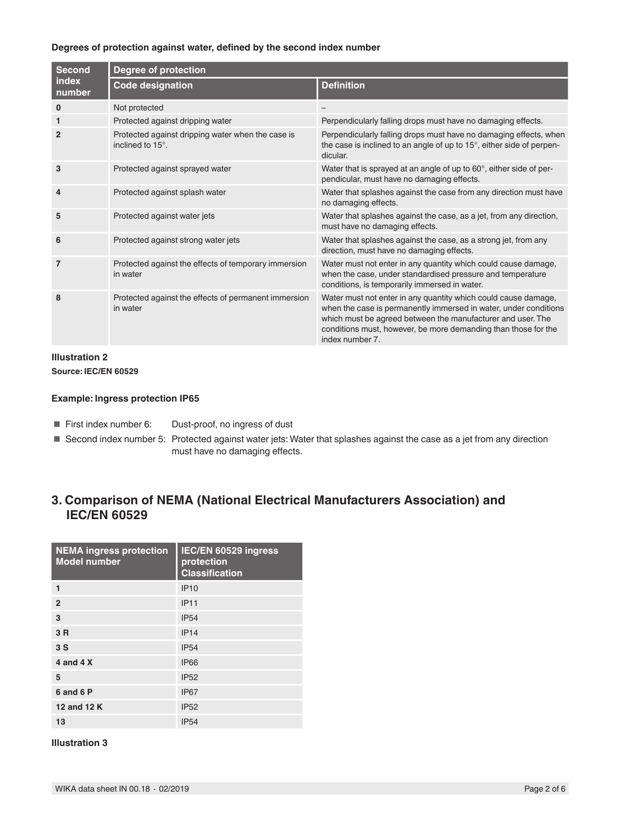#### **Degrees of protection against water, defined by the second index number**

| <b>Second</b><br>index<br>number | <b>Degree of protection</b>                                           |                                                                                                                                                                                                                                                                                        |  |  |  |  |  |
|----------------------------------|-----------------------------------------------------------------------|----------------------------------------------------------------------------------------------------------------------------------------------------------------------------------------------------------------------------------------------------------------------------------------|--|--|--|--|--|
|                                  | <b>Code designation</b>                                               | <b>Definition</b>                                                                                                                                                                                                                                                                      |  |  |  |  |  |
| $\mathbf 0$                      | Not protected                                                         |                                                                                                                                                                                                                                                                                        |  |  |  |  |  |
| $\mathbf{1}$                     | Protected against dripping water                                      | Perpendicularly falling drops must have no damaging effects.                                                                                                                                                                                                                           |  |  |  |  |  |
| $\overline{2}$                   | Protected against dripping water when the case is<br>inclined to 15°. | Perpendicularly falling drops must have no damaging effects, when<br>the case is inclined to an angle of up to 15°, either side of perpen-<br>dicular.                                                                                                                                 |  |  |  |  |  |
| 3                                | Protected against sprayed water                                       | Water that is sprayed at an angle of up to 60°, either side of per-<br>pendicular, must have no damaging effects.                                                                                                                                                                      |  |  |  |  |  |
| 4                                | Protected against splash water                                        | Water that splashes against the case from any direction must have<br>no damaging effects.                                                                                                                                                                                              |  |  |  |  |  |
| 5                                | Protected against water jets                                          | Water that splashes against the case, as a jet, from any direction,<br>must have no damaging effects.                                                                                                                                                                                  |  |  |  |  |  |
| 6                                | Protected against strong water jets                                   | Water that splashes against the case, as a strong jet, from any<br>direction, must have no damaging effects.                                                                                                                                                                           |  |  |  |  |  |
| $\overline{7}$                   | Protected against the effects of temporary immersion<br>in water      | Water must not enter in any quantity which could cause damage,<br>when the case, under standardised pressure and temperature<br>conditions, is temporarily immersed in water.                                                                                                          |  |  |  |  |  |
| 8                                | Protected against the effects of permanent immersion<br>in water      | Water must not enter in any quantity which could cause damage,<br>when the case is permanently immersed in water, under conditions<br>which must be agreed between the manufacturer and user. The<br>conditions must, however, be more demanding than those for the<br>index number 7. |  |  |  |  |  |

# **Illustration 2**

**Source: IEC/EN 60529**

#### **Example: Ingress protection IP65**

- First index number 6: Dust-proof, no ingress of dust
- Second index number 5: Protected against water jets: Water that splashes against the case as a jet from any direction must have no damaging effects.

# **3. Comparison of NEMA (National Electrical Manufacturers Association) and IEC/EN 60529**

| <b>NEMA ingress protection</b><br><b>Model number</b> | IEC/EN 60529 ingress<br>protection<br><b>Classification</b> |
|-------------------------------------------------------|-------------------------------------------------------------|
| 1                                                     | <b>IP10</b>                                                 |
| $\overline{2}$                                        | <b>IP11</b>                                                 |
| 3                                                     | <b>IP54</b>                                                 |
| 3 R                                                   | IP14                                                        |
| 3S                                                    | <b>IP54</b>                                                 |
| 4 and 4 X                                             | <b>IP66</b>                                                 |
| 5                                                     | <b>IP52</b>                                                 |
| 6 and 6 P                                             | IP <sub>67</sub>                                            |
| 12 and 12 K                                           | <b>IP52</b>                                                 |
| 13                                                    | <b>IP54</b>                                                 |

#### **Illustration 3**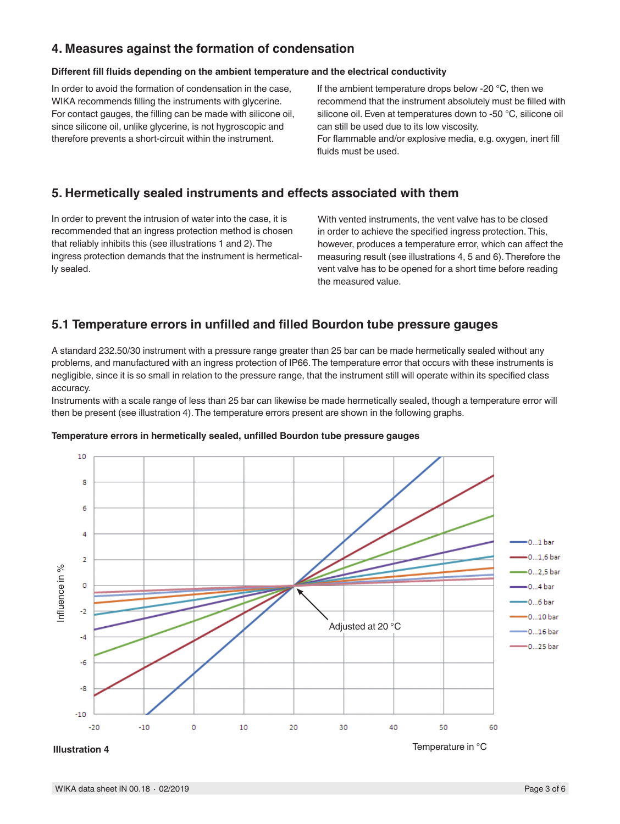### **4. Measures against the formation of condensation**

#### **Different fill fluids depending on the ambient temperature and the electrical conductivity**

In order to avoid the formation of condensation in the case, WIKA recommends filling the instruments with glycerine. For contact gauges, the filling can be made with silicone oil, since silicone oil, unlike glycerine, is not hygroscopic and therefore prevents a short-circuit within the instrument.

If the ambient temperature drops below -20 °C, then we recommend that the instrument absolutely must be filled with silicone oil. Even at temperatures down to -50 °C, silicone oil can still be used due to its low viscosity.

For flammable and/or explosive media, e.g. oxygen, inert fill fluids must be used.

# **5. Hermetically sealed instruments and effects associated with them**

In order to prevent the intrusion of water into the case, it is recommended that an ingress protection method is chosen that reliably inhibits this (see illustrations 1 and 2). The ingress protection demands that the instrument is hermetically sealed.

With vented instruments, the vent valve has to be closed in order to achieve the specified ingress protection. This, however, produces a temperature error, which can affect the measuring result (see illustrations 4, 5 and 6). Therefore the vent valve has to be opened for a short time before reading the measured value.

### **5.1 Temperature errors in unfilled and filled Bourdon tube pressure gauges**

A standard 232.50/30 instrument with a pressure range greater than 25 bar can be made hermetically sealed without any problems, and manufactured with an ingress protection of IP66. The temperature error that occurs with these instruments is negligible, since it is so small in relation to the pressure range, that the instrument still will operate within its specified class accuracy.

Instruments with a scale range of less than 25 bar can likewise be made hermetically sealed, though a temperature error will then be present (see illustration 4). The temperature errors present are shown in the following graphs.

#### **Temperature errors in hermetically sealed, unfilled Bourdon tube pressure gauges**



**Illustration 4**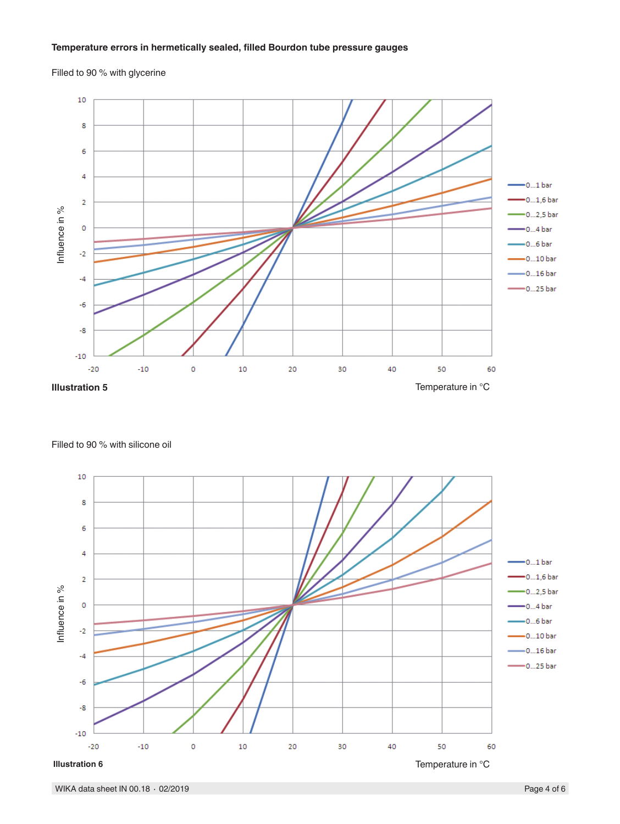### **Temperature errors in hermetically sealed, filled Bourdon tube pressure gauges**

Filled to 90 % with glycerine



Filled to 90 % with silicone oil

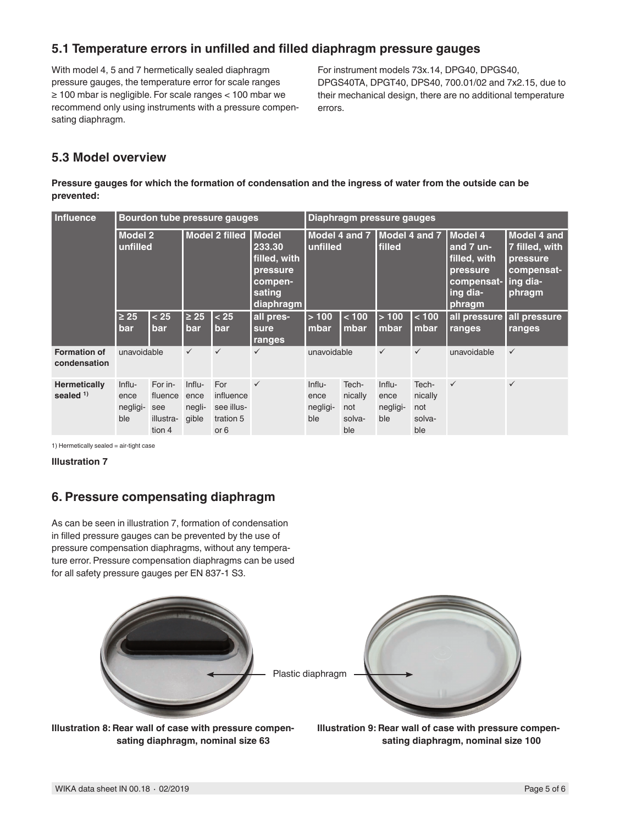### **5.1 Temperature errors in unfilled and filled diaphragm pressure gauges**

With model 4, 5 and 7 hermetically sealed diaphragm pressure gauges, the temperature error for scale ranges ≥ 100 mbar is negligible. For scale ranges < 100 mbar we recommend only using instruments with a pressure compensating diaphragm.

For instrument models 73x.14, DPG40, DPGS40, DPGS40TA, DPGT40, DPS40, 700.01/02 and 7x2.15, due to their mechanical design, there are no additional temperature errors.

# **5.3 Model overview**

**Pressure gauges for which the formation of condensation and the ingress of water from the outside can be prevented:**

| <b>Influence</b>                    | Bourdon tube pressure gauges      |                                                  |                                   |                                                     | Diaphragm pressure gauges                                                              |                                   |                                          |                                         |                                          |                                                                                      |                                                                                       |
|-------------------------------------|-----------------------------------|--------------------------------------------------|-----------------------------------|-----------------------------------------------------|----------------------------------------------------------------------------------------|-----------------------------------|------------------------------------------|-----------------------------------------|------------------------------------------|--------------------------------------------------------------------------------------|---------------------------------------------------------------------------------------|
|                                     | <b>Model 2</b><br>unfilled        |                                                  |                                   | Model 2 filled                                      | <b>I</b> Model<br>233.30<br>filled, with<br>pressure<br>compen-<br>sating<br>diaphragm | unfilled                          |                                          | Model 4 and 7   Model 4 and 7<br>filled |                                          | Model 4<br>and 7 un-<br>filled, with<br>pressure<br>compensat-<br>ing dia-<br>phragm | <b>Model 4 and</b><br>7 filled, with<br>pressure<br>compensat-<br>ling dia-<br>phragm |
|                                     | 25 ≥<br>bar                       | < 25<br>bar                                      | $\geq 25$<br>bar                  | < 25<br>bar                                         | all pres-<br>sure<br>ranges                                                            | >100<br>mbar                      | < 100<br>mbar                            | >100<br>mbar                            | < 100<br>mbar                            | all pressure all pressure<br>ranges                                                  | ranges                                                                                |
| <b>Formation of</b><br>condensation | unavoidable                       |                                                  | $\checkmark$                      | $\checkmark$                                        | $\checkmark$                                                                           | unavoidable                       |                                          | $\checkmark$                            | $\checkmark$                             | unavoidable                                                                          | $\checkmark$                                                                          |
| <b>Hermetically</b><br>sealed $1$ ) | Influ-<br>ence<br>negligi-<br>ble | For in-<br>fluence<br>see<br>illustra-<br>tion 4 | Influ-<br>ence<br>negli-<br>gible | For<br>influence<br>see illus-<br>tration 5<br>or 6 | $\checkmark$                                                                           | Influ-<br>ence<br>negligi-<br>ble | Tech-<br>nically<br>not<br>solva-<br>ble | Influ-<br>ence<br>negligi-<br>ble       | Tech-<br>nically<br>not<br>solva-<br>ble | $\checkmark$                                                                         | $\checkmark$                                                                          |

1) Hermetically sealed = air-tight case

**Illustration 7**

# **6. Pressure compensating diaphragm**

As can be seen in illustration 7, formation of condensation in filled pressure gauges can be prevented by the use of pressure compensation diaphragms, without any temperature error. Pressure compensation diaphragms can be used for all safety pressure gauges per EN 837-1 S3.



**Illustration 8: Rear wall of case with pressure compensating diaphragm, nominal size 63**

**Illustration 9: Rear wall of case with pressure compensating diaphragm, nominal size 100**